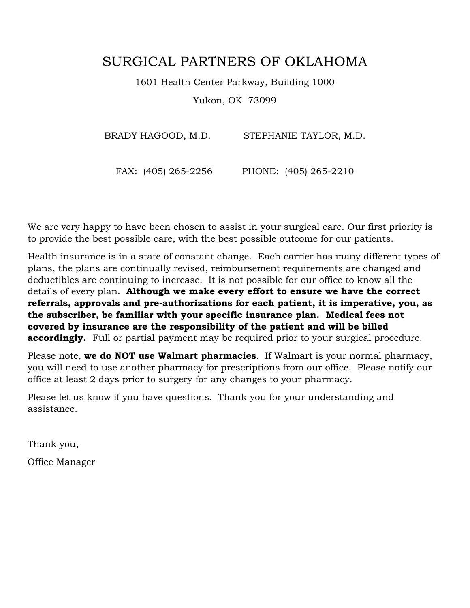# SURGICAL PARTNERS OF OKLAHOMA

1601 Health Center Parkway, Building 1000

Yukon, OK 73099

BRADY HAGOOD, M.D. STEPHANIE TAYLOR, M.D.

FAX: (405) 265-2256 PHONE: (405) 265-2210

We are very happy to have been chosen to assist in your surgical care. Our first priority is to provide the best possible care, with the best possible outcome for our patients.

Health insurance is in a state of constant change. Each carrier has many different types of plans, the plans are continually revised, reimbursement requirements are changed and deductibles are continuing to increase. It is not possible for our office to know all the details of every plan. **Although we make every effort to ensure we have the correct referrals, approvals and pre-authorizations for each patient, it is imperative, you, as the subscriber, be familiar with your specific insurance plan. Medical fees not covered by insurance are the responsibility of the patient and will be billed accordingly.** Full or partial payment may be required prior to your surgical procedure.

Please note, **we do NOT use Walmart pharmacies**. If Walmart is your normal pharmacy, you will need to use another pharmacy for prescriptions from our office. Please notify our office at least 2 days prior to surgery for any changes to your pharmacy.

Please let us know if you have questions. Thank you for your understanding and assistance.

Thank you,

Office Manager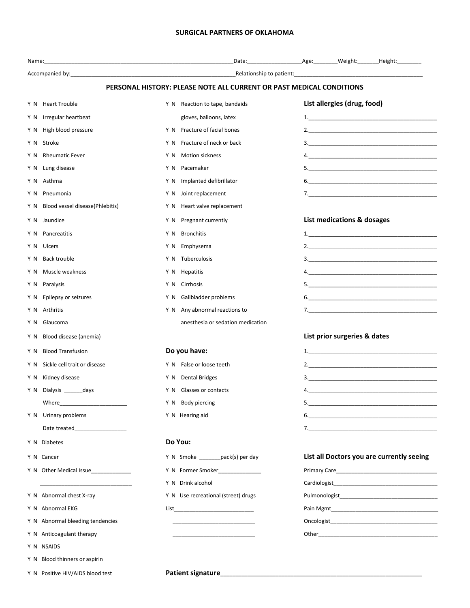### **SURGICAL PARTNERS OF OKLAHOMA**

|                                                                                                                                                                                                                                | PERSONAL HISTORY: PLEASE NOTE ALL CURRENT OR PAST MEDICAL CONDITIONS |                                                                                                                                                                                                                                      |
|--------------------------------------------------------------------------------------------------------------------------------------------------------------------------------------------------------------------------------|----------------------------------------------------------------------|--------------------------------------------------------------------------------------------------------------------------------------------------------------------------------------------------------------------------------------|
| Y N Heart Trouble                                                                                                                                                                                                              | Y N Reaction to tape, bandaids                                       | List allergies (drug, food)                                                                                                                                                                                                          |
| Irregular heartbeat<br>Y N                                                                                                                                                                                                     | gloves, balloons, latex                                              |                                                                                                                                                                                                                                      |
| High blood pressure<br>Y N                                                                                                                                                                                                     | Y N Fracture of facial bones                                         | 2.                                                                                                                                                                                                                                   |
| Stroke<br>Y N                                                                                                                                                                                                                  | Fracture of neck or back<br>Y N                                      |                                                                                                                                                                                                                                      |
| <b>Rheumatic Fever</b><br>Y N                                                                                                                                                                                                  | <b>Motion sickness</b><br>YN                                         |                                                                                                                                                                                                                                      |
| Lung disease<br>Y N                                                                                                                                                                                                            | Pacemaker<br>YN                                                      |                                                                                                                                                                                                                                      |
| Y N Asthma                                                                                                                                                                                                                     | Implanted defibrillator<br>Y N                                       |                                                                                                                                                                                                                                      |
| Pneumonia<br>Y N                                                                                                                                                                                                               | Y N Joint replacement                                                |                                                                                                                                                                                                                                      |
| Blood vessel disease(Phlebitis)<br>Y N                                                                                                                                                                                         | Y N Heart valve replacement                                          |                                                                                                                                                                                                                                      |
| Jaundice<br>Y N                                                                                                                                                                                                                | Pregnant currently<br>YN.                                            | List medications & dosages                                                                                                                                                                                                           |
| Pancreatitis<br>Y N                                                                                                                                                                                                            | <b>Bronchitis</b><br>Y N                                             |                                                                                                                                                                                                                                      |
| Ulcers<br>Y N                                                                                                                                                                                                                  | Emphysema<br>Y N                                                     |                                                                                                                                                                                                                                      |
| <b>Back trouble</b><br>Y N                                                                                                                                                                                                     | Y N Tuberculosis                                                     |                                                                                                                                                                                                                                      |
| Muscle weakness<br>Y N                                                                                                                                                                                                         | Y N Hepatitis                                                        |                                                                                                                                                                                                                                      |
| Y N Paralysis                                                                                                                                                                                                                  | Cirrhosis<br>YN                                                      |                                                                                                                                                                                                                                      |
| Y N Epilepsy or seizures                                                                                                                                                                                                       | Y N Gallbladder problems                                             |                                                                                                                                                                                                                                      |
| Y N Arthritis                                                                                                                                                                                                                  | Y N Any abnormal reactions to                                        |                                                                                                                                                                                                                                      |
| Glaucoma<br>YN.                                                                                                                                                                                                                | anesthesia or sedation medication                                    |                                                                                                                                                                                                                                      |
| Blood disease (anemia)<br>Y N                                                                                                                                                                                                  |                                                                      | List prior surgeries & dates                                                                                                                                                                                                         |
| <b>Blood Transfusion</b><br>Y N                                                                                                                                                                                                | Do you have:                                                         |                                                                                                                                                                                                                                      |
| Sickle cell trait or disease<br>Y N                                                                                                                                                                                            | Y N False or loose teeth                                             |                                                                                                                                                                                                                                      |
| Kidney disease<br>Y N                                                                                                                                                                                                          | Y N Dental Bridges                                                   |                                                                                                                                                                                                                                      |
| Y N Dialysis ______ days                                                                                                                                                                                                       | Y N Glasses or contacts                                              | 4. $\qquad \qquad$                                                                                                                                                                                                                   |
| Where the contract of the contract of the contract of the contract of the contract of the contract of the contract of the contract of the contract of the contract of the contract of the contract of the contract of the cont | Y N Body piercing                                                    |                                                                                                                                                                                                                                      |
| Y N Urinary problems                                                                                                                                                                                                           | Y N Hearing aid                                                      |                                                                                                                                                                                                                                      |
| Date treated___________________                                                                                                                                                                                                |                                                                      |                                                                                                                                                                                                                                      |
| Y N Diabetes                                                                                                                                                                                                                   | Do You:                                                              |                                                                                                                                                                                                                                      |
| Y N Cancer                                                                                                                                                                                                                     | Y N Smoke ________ pack(s) per day                                   | List all Doctors you are currently seeing                                                                                                                                                                                            |
| Y N Other Medical Issue                                                                                                                                                                                                        | Y N Former Smoker                                                    | Primary Care <b>Expansion Contract Care and Contract Care and Contract Contract Contract Contract Contract Contract Contract Contract Contract Contract Contract Contract Contract Contract Contract Contract Contract Contract </b> |
|                                                                                                                                                                                                                                | Y N Drink alcohol                                                    | Cardiologist <b>Exercise Service Service Service Service Service Service Service Service Service Service Service Service Service Service Service Service Service Service Service Service Service Service Service Service Service</b> |
| Y N Abnormal chest X-ray                                                                                                                                                                                                       | Y N Use recreational (street) drugs                                  | Pulmonologist Pulmonologist                                                                                                                                                                                                          |
| Y N Abnormal EKG                                                                                                                                                                                                               | List _____________________________                                   |                                                                                                                                                                                                                                      |
| Y N Abnormal bleeding tendencies                                                                                                                                                                                               | the control of the control of the control of the                     |                                                                                                                                                                                                                                      |
| Y N Anticoagulant therapy                                                                                                                                                                                                      |                                                                      | Other <b>contracts</b> and contracts are all the contracts of the contracts of the contracts of the contracts of the contracts of the contracts of the contracts of the contracts of the contracts of the contracts of the contract  |
| Y N NSAIDS                                                                                                                                                                                                                     |                                                                      |                                                                                                                                                                                                                                      |
| Y N Blood thinners or aspirin                                                                                                                                                                                                  |                                                                      |                                                                                                                                                                                                                                      |
| Y N Positive HIV/AIDS blood test                                                                                                                                                                                               | Patient signature_                                                   |                                                                                                                                                                                                                                      |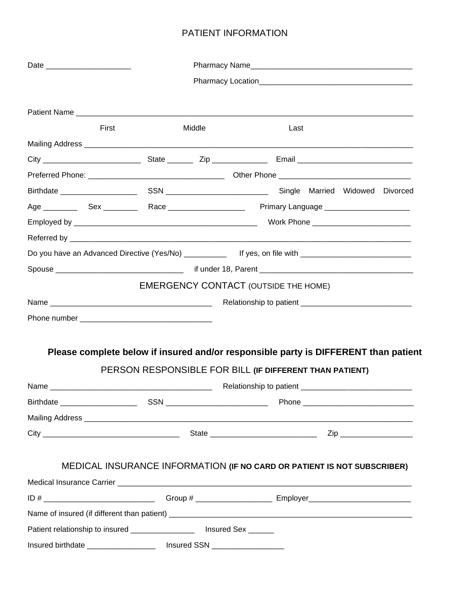## PATIENT INFORMATION

|                                                                                                            | First                                                                               | Middle |                                                         | Last |  |  |
|------------------------------------------------------------------------------------------------------------|-------------------------------------------------------------------------------------|--------|---------------------------------------------------------|------|--|--|
|                                                                                                            |                                                                                     |        |                                                         |      |  |  |
|                                                                                                            |                                                                                     |        |                                                         |      |  |  |
|                                                                                                            |                                                                                     |        |                                                         |      |  |  |
|                                                                                                            |                                                                                     |        |                                                         |      |  |  |
|                                                                                                            |                                                                                     |        |                                                         |      |  |  |
|                                                                                                            |                                                                                     |        |                                                         |      |  |  |
|                                                                                                            |                                                                                     |        |                                                         |      |  |  |
| Do you have an Advanced Directive (Yes/No) _____________ If yes, on file with ____________________________ |                                                                                     |        |                                                         |      |  |  |
|                                                                                                            |                                                                                     |        |                                                         |      |  |  |
|                                                                                                            |                                                                                     |        | <b>EMERGENCY CONTACT (OUTSIDE THE HOME)</b>             |      |  |  |
|                                                                                                            |                                                                                     |        |                                                         |      |  |  |
|                                                                                                            |                                                                                     |        |                                                         |      |  |  |
|                                                                                                            |                                                                                     |        |                                                         |      |  |  |
|                                                                                                            | Please complete below if insured and/or responsible party is DIFFERENT than patient |        |                                                         |      |  |  |
|                                                                                                            |                                                                                     |        | PERSON RESPONSIBLE FOR BILL (IF DIFFERENT THAN PATIENT) |      |  |  |
|                                                                                                            |                                                                                     |        |                                                         |      |  |  |
| <b>Birthdate</b>                                                                                           |                                                                                     | SSN_   |                                                         |      |  |  |
|                                                                                                            |                                                                                     |        |                                                         |      |  |  |
|                                                                                                            |                                                                                     |        |                                                         |      |  |  |
|                                                                                                            |                                                                                     |        |                                                         |      |  |  |
|                                                                                                            |                                                                                     |        |                                                         |      |  |  |
|                                                                                                            | MEDICAL INSURANCE INFORMATION (IF NO CARD OR PATIENT IS NOT SUBSCRIBER)             |        |                                                         |      |  |  |
|                                                                                                            |                                                                                     |        |                                                         |      |  |  |
|                                                                                                            |                                                                                     |        |                                                         |      |  |  |
|                                                                                                            |                                                                                     |        |                                                         |      |  |  |
| Patient relationship to insured ___________________ Insured Sex ______                                     |                                                                                     |        |                                                         |      |  |  |
| Insured birthdate ______________________ Insured SSN ____________________                                  |                                                                                     |        |                                                         |      |  |  |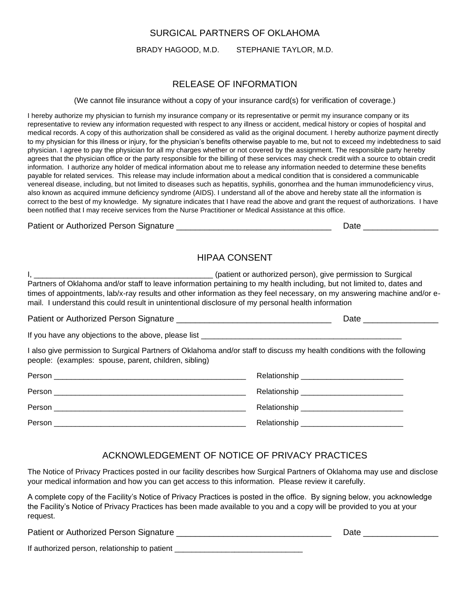### SURGICAL PARTNERS OF OKLAHOMA

BRADY HAGOOD, M.D. STEPHANIE TAYLOR, M.D.

### RELEASE OF INFORMATION

(We cannot file insurance without a copy of your insurance card(s) for verification of coverage.)

I hereby authorize my physician to furnish my insurance company or its representative or permit my insurance company or its representative to review any information requested with respect to any illness or accident, medical history or copies of hospital and medical records. A copy of this authorization shall be considered as valid as the original document. I hereby authorize payment directly to my physician for this illness or injury, for the physician's benefits otherwise payable to me, but not to exceed my indebtedness to said physician. I agree to pay the physician for all my charges whether or not covered by the assignment. The responsible party hereby agrees that the physician office or the party responsible for the billing of these services may check credit with a source to obtain credit information. I authorize any holder of medical information about me to release any information needed to determine these benefits payable for related services. This release may include information about a medical condition that is considered a communicable venereal disease, including, but not limited to diseases such as hepatitis, syphilis, gonorrhea and the human immunodeficiency virus, also known as acquired immune deficiency syndrome (AIDS). I understand all of the above and hereby state all the information is correct to the best of my knowledge. My signature indicates that I have read the above and grant the request of authorizations. I have been notified that I may receive services from the Nurse Practitioner or Medical Assistance at this office.

Patient or Authorized Person Signature \_\_\_\_\_\_\_\_\_\_\_\_\_\_\_\_\_\_\_\_\_\_\_\_\_\_\_\_\_\_\_\_\_ Date \_\_\_\_\_\_\_\_\_\_\_\_\_\_\_\_

### HIPAA CONSENT

I, \_\_\_\_\_\_\_\_\_\_\_\_\_\_\_\_\_\_\_\_\_\_\_\_\_\_\_\_\_\_\_\_\_\_\_\_\_\_\_\_\_\_ (patient or authorized person), give permission to Surgical Partners of Oklahoma and/or staff to leave information pertaining to my health including, but not limited to, dates and times of appointments, lab/x-ray results and other information as they feel necessary, on my answering machine and/or email. I understand this could result in unintentional disclosure of my personal health information

Patient or Authorized Person Signature \_\_\_\_\_\_\_\_\_\_\_\_\_\_\_\_\_\_\_\_\_\_\_\_\_\_\_\_\_\_\_\_\_ Date \_\_\_\_\_\_\_\_\_\_\_\_\_\_\_\_ If you have any objections to the above, please list \_\_\_\_\_\_\_\_\_\_\_\_\_\_\_\_\_\_\_\_\_\_\_\_\_\_\_ I also give permission to Surgical Partners of Oklahoma and/or staff to discuss my health conditions with the following people: (examples: spouse, parent, children, sibling) Person \_\_\_\_\_\_\_\_\_\_\_\_\_\_\_\_\_\_\_\_\_\_\_\_\_\_\_\_\_\_\_\_\_\_\_\_\_\_\_\_\_\_\_\_\_ Relationship \_\_\_\_\_\_\_\_\_\_\_\_\_\_\_\_\_\_\_\_\_\_\_\_ Person \_\_\_\_\_\_\_\_\_\_\_\_\_\_\_\_\_\_\_\_\_\_\_\_\_\_\_\_\_\_\_\_\_\_\_\_\_\_\_\_\_\_\_\_\_ Relationship \_\_\_\_\_\_\_\_\_\_\_\_\_\_\_\_\_\_\_\_\_\_\_\_

| Dorcon         |                 |
|----------------|-----------------|
| _______        | _______         |
| D <sub>c</sub> |                 |
| _______        | ________        |
| _____          | ______          |
| _____          | _______________ |

### ACKNOWLEDGEMENT OF NOTICE OF PRIVACY PRACTICES

The Notice of Privacy Practices posted in our facility describes how Surgical Partners of Oklahoma may use and disclose your medical information and how you can get access to this information. Please review it carefully.

A complete copy of the Facility's Notice of Privacy Practices is posted in the office. By signing below, you acknowledge the Facility's Notice of Privacy Practices has been made available to you and a copy will be provided to you at your request.

| Patient or Authorized Person Signature        | Date |
|-----------------------------------------------|------|
| If authorized person, relationship to patient |      |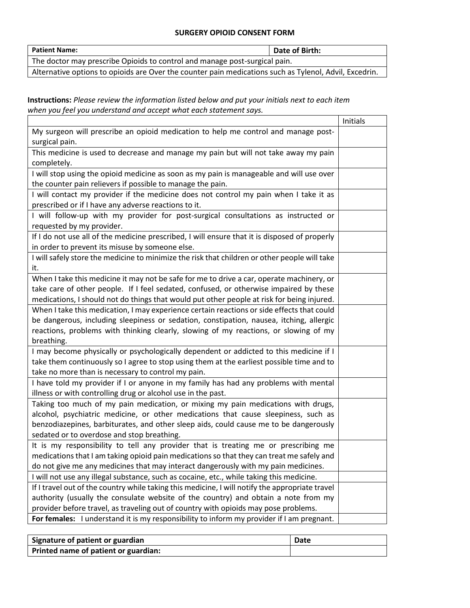### **SURGERY OPIOID CONSENT FORM**

| <b>Patient Name:</b>                                                                                   | Date of Birth: |  |
|--------------------------------------------------------------------------------------------------------|----------------|--|
| The doctor may prescribe Opioids to control and manage post-surgical pain.                             |                |  |
| Alternative options to opioids are Over the counter pain medications such as Tylenol, Advil, Excedrin. |                |  |

**Instructions:** *Please review the information listed below and put your initials next to each item when you feel you understand and accept what each statement says.*

|                                                                                                 | Initials |
|-------------------------------------------------------------------------------------------------|----------|
| My surgeon will prescribe an opioid medication to help me control and manage post-              |          |
| surgical pain.                                                                                  |          |
| This medicine is used to decrease and manage my pain but will not take away my pain             |          |
| completely.                                                                                     |          |
| I will stop using the opioid medicine as soon as my pain is manageable and will use over        |          |
| the counter pain relievers if possible to manage the pain.                                      |          |
| I will contact my provider if the medicine does not control my pain when I take it as           |          |
| prescribed or if I have any adverse reactions to it.                                            |          |
| I will follow-up with my provider for post-surgical consultations as instructed or              |          |
| requested by my provider.                                                                       |          |
| If I do not use all of the medicine prescribed, I will ensure that it is disposed of properly   |          |
| in order to prevent its misuse by someone else.                                                 |          |
| I will safely store the medicine to minimize the risk that children or other people will take   |          |
| it.                                                                                             |          |
| When I take this medicine it may not be safe for me to drive a car, operate machinery, or       |          |
| take care of other people. If I feel sedated, confused, or otherwise impaired by these          |          |
| medications, I should not do things that would put other people at risk for being injured.      |          |
| When I take this medication, I may experience certain reactions or side effects that could      |          |
| be dangerous, including sleepiness or sedation, constipation, nausea, itching, allergic         |          |
| reactions, problems with thinking clearly, slowing of my reactions, or slowing of my            |          |
| breathing.                                                                                      |          |
| I may become physically or psychologically dependent or addicted to this medicine if I          |          |
| take them continuously so I agree to stop using them at the earliest possible time and to       |          |
| take no more than is necessary to control my pain.                                              |          |
| I have told my provider if I or anyone in my family has had any problems with mental            |          |
| illness or with controlling drug or alcohol use in the past.                                    |          |
| Taking too much of my pain medication, or mixing my pain medications with drugs,                |          |
| alcohol, psychiatric medicine, or other medications that cause sleepiness, such as              |          |
| benzodiazepines, barbiturates, and other sleep aids, could cause me to be dangerously           |          |
| sedated or to overdose and stop breathing.                                                      |          |
| It is my responsibility to tell any provider that is treating me or prescribing me              |          |
| medications that I am taking opioid pain medications so that they can treat me safely and       |          |
| do not give me any medicines that may interact dangerously with my pain medicines.              |          |
| I will not use any illegal substance, such as cocaine, etc., while taking this medicine.        |          |
| If I travel out of the country while taking this medicine, I will notify the appropriate travel |          |
| authority (usually the consulate website of the country) and obtain a note from my              |          |
| provider before travel, as traveling out of country with opioids may pose problems.             |          |
| For females: I understand it is my responsibility to inform my provider if I am pregnant.       |          |

| Signature of patient or guardian     | Date |
|--------------------------------------|------|
| Printed name of patient or guardian: |      |